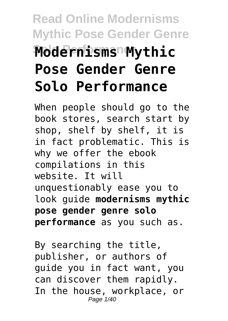# **Read Online Modernisms Mythic Pose Gender Genre Solo Performance Modernisms Mythic Pose Gender Genre Solo Performance**

When people should go to the book stores, search start by shop, shelf by shelf, it is in fact problematic. This is why we offer the ebook compilations in this website. It will unquestionably ease you to look guide **modernisms mythic pose gender genre solo performance** as you such as.

By searching the title, publisher, or authors of guide you in fact want, you can discover them rapidly. In the house, workplace, or Page 1/40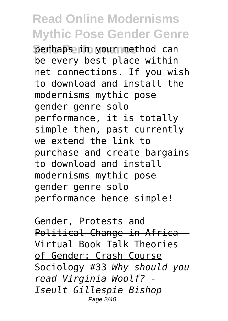**Derhaps in your method can** be every best place within net connections. If you wish to download and install the modernisms mythic pose gender genre solo performance, it is totally simple then, past currently we extend the link to purchase and create bargains to download and install modernisms mythic pose gender genre solo performance hence simple!

Gender, Protests and Political Change in Africa -Virtual Book Talk Theories of Gender: Crash Course Sociology #33 *Why should you read Virginia Woolf? - Iseult Gillespie Bishop* Page 2/40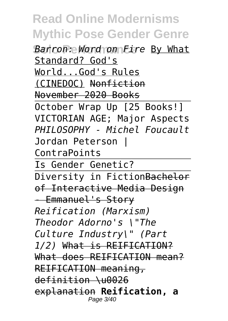**Barron: Word on Fire By What** Standard? God's World...God's Rules (CINEDOC) Nonfiction November 2020 Books October Wrap Up [25 Books!] VICTORIAN AGE; Major Aspects *PHILOSOPHY - Michel Foucault* Jordan Peterson | ContraPoints Is Gender Genetic? Diversity in FictionBachelor of Interactive Media Design - Emmanuel's Story *Reification (Marxism) Theodor Adorno's \"The Culture Industry\" (Part 1/2)* What is REIFICATION? What does REIFICATION mean? REIFICATION meaning, definition \u0026 explanation **Reification, a** Page 3/40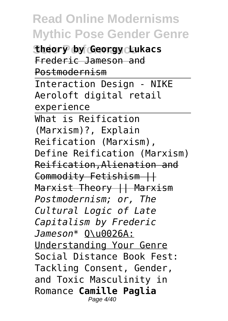**Stheory by Georgy Lukacs** Frederic Jameson and Postmodernism Interaction Design - NIKE Aeroloft digital retail experience What is Reification (Marxism)?, Explain Reification (Marxism), Define Reification (Marxism) Reification,Alienation and Commodity Fetishism || Marxist Theory || Marxism *Postmodernism; or, The Cultural Logic of Late Capitalism by Frederic Jameson\** Q\u0026A: Understanding Your Genre Social Distance Book Fest: Tackling Consent, Gender, and Toxic Masculinity in Romance **Camille Paglia** Page 4/40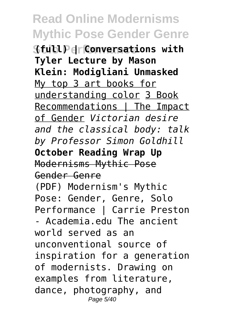**Solo Performance (full) | Conversations with Tyler Lecture by Mason Klein: Modigliani Unmasked** My top 3 art books for understanding color 3 Book Recommendations | The Impact of Gender *Victorian desire and the classical body: talk by Professor Simon Goldhill* **October Reading Wrap Up** Modernisms Mythic Pose Gender Genre (PDF) Modernism's Mythic Pose: Gender, Genre, Solo Performance | Carrie Preston - Academia.edu The ancient world served as an unconventional source of inspiration for a generation of modernists. Drawing on examples from literature, dance, photography, and Page 5/40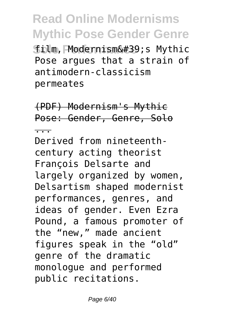**Solo Performance** film, Modernism's Mythic Pose argues that a strain of antimodern-classicism permeates

(PDF) Modernism's Mythic Pose: Gender, Genre, Solo

...

Derived from nineteenthcentury acting theorist François Delsarte and largely organized by women, Delsartism shaped modernist performances, genres, and ideas of gender. Even Ezra Pound, a famous promoter of the "new," made ancient figures speak in the "old" genre of the dramatic monologue and performed public recitations.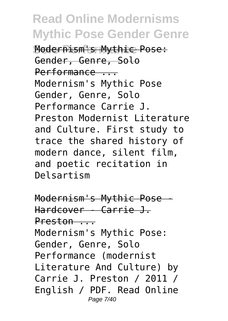**Solo Performance** Modernism's Mythic Pose: Gender, Genre, Solo Performance ... Modernism's Mythic Pose Gender, Genre, Solo Performance Carrie J. Preston Modernist Literature and Culture. First study to trace the shared history of modern dance, silent film, and poetic recitation in Delsartism

Modernism's Mythic Pose - Hardcover - Carrie J. Preston ... Modernism's Mythic Pose: Gender, Genre, Solo Performance (modernist Literature And Culture) by Carrie J. Preston / 2011 / English / PDF. Read Online Page 7/40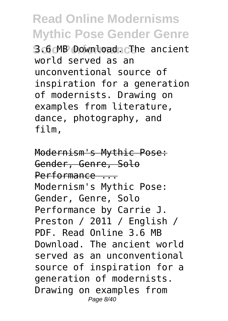**Solo Performance** 3.6 MB Download. The ancient world served as an unconventional source of inspiration for a generation of modernists. Drawing on examples from literature, dance, photography, and film,

Modernism's Mythic Pose: Gender, Genre, Solo Performance ... Modernism's Mythic Pose: Gender, Genre, Solo Performance by Carrie J. Preston / 2011 / English / PDF. Read Online 3.6 MB Download. The ancient world served as an unconventional source of inspiration for a generation of modernists. Drawing on examples from Page 8/40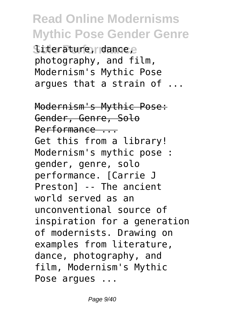Siterature, dancee photography, and film, Modernism's Mythic Pose argues that a strain of ...

Modernism's Mythic Pose: Gender, Genre, Solo Performance ... Get this from a library! Modernism's mythic pose : gender, genre, solo performance. [Carrie J Preston] -- The ancient world served as an unconventional source of inspiration for a generation of modernists. Drawing on examples from literature, dance, photography, and film, Modernism's Mythic Pose argues ...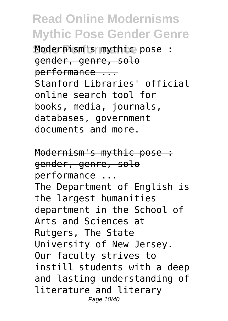**Modernism's mythic pose :** gender, genre, solo performance ... Stanford Libraries' official online search tool for books, media, journals, databases, government documents and more.

Modernism's mythic pose : gender, genre, solo performance ... The Department of English is the largest humanities department in the School of Arts and Sciences at Rutgers, The State University of New Jersey. Our faculty strives to instill students with a deep and lasting understanding of literature and literary Page 10/40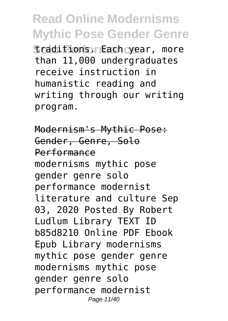**Sraditions. Each year, more** than 11,000 undergraduates receive instruction in humanistic reading and writing through our writing program.

Modernism's Mythic Pose: Gender, Genre, Solo Performance modernisms mythic pose gender genre solo performance modernist literature and culture Sep 03, 2020 Posted By Robert Ludlum Library TEXT ID b85d8210 Online PDF Ebook Epub Library modernisms mythic pose gender genre modernisms mythic pose gender genre solo performance modernist Page 11/40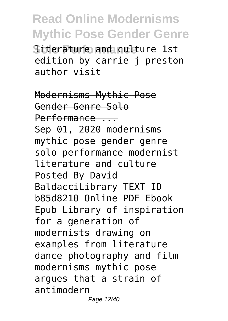**Siterature and culture 1st** edition by carrie j preston author visit

Modernisms Mythic Pose Gender Genre Solo Performance ... Sep 01, 2020 modernisms mythic pose gender genre solo performance modernist literature and culture Posted By David BaldacciLibrary TEXT ID b85d8210 Online PDF Ebook Epub Library of inspiration for a generation of modernists drawing on examples from literature dance photography and film modernisms mythic pose argues that a strain of antimodern Page 12/40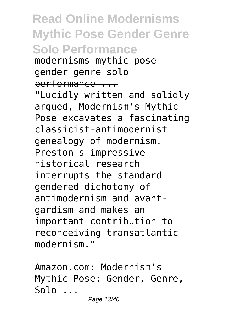**Read Online Modernisms Mythic Pose Gender Genre Solo Performance** modernisms mythic pose gender genre solo performance ...

"Lucidly written and solidly argued, Modernism's Mythic Pose excavates a fascinating classicist-antimodernist genealogy of modernism. Preston's impressive historical research interrupts the standard gendered dichotomy of antimodernism and avantgardism and makes an important contribution to reconceiving transatlantic modernism."

Amazon.com: Modernism's Mythic Pose: Gender, Genre,  $Solo...$ Page 13/40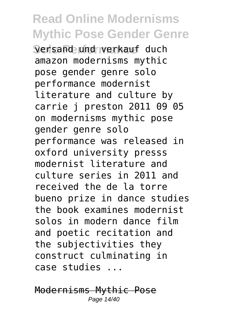**Serisand und verkauf duch** amazon modernisms mythic pose gender genre solo performance modernist literature and culture by carrie j preston 2011 09 05 on modernisms mythic pose gender genre solo performance was released in oxford university presss modernist literature and culture series in 2011 and received the de la torre bueno prize in dance studies the book examines modernist solos in modern dance film and poetic recitation and the subjectivities they construct culminating in case studies ...

Modernisms Mythic Pose Page 14/40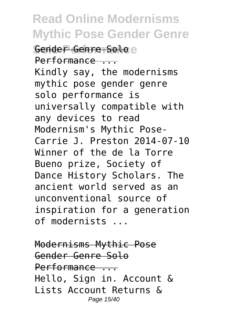**Gender Genre Soloe** Performance ... Kindly say, the modernisms mythic pose gender genre solo performance is universally compatible with any devices to read Modernism's Mythic Pose-Carrie J. Preston 2014-07-10 Winner of the de la Torre Bueno prize, Society of Dance History Scholars. The ancient world served as an unconventional source of inspiration for a generation of modernists ...

Modernisms Mythic Pose Gender Genre Solo Performance ... Hello, Sign in. Account & Lists Account Returns & Page 15/40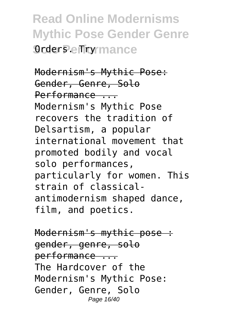**Read Online Modernisms Mythic Pose Gender Genre** *<u>Orders</u>* effrormance

Modernism's Mythic Pose: Gender, Genre, Solo Performance ... Modernism's Mythic Pose recovers the tradition of Delsartism, a popular international movement that promoted bodily and vocal solo performances, particularly for women. This strain of classicalantimodernism shaped dance, film, and poetics.

Modernism's mythic pose : gender, genre, solo performance ... The Hardcover of the Modernism's Mythic Pose: Gender, Genre, Solo Page 16/40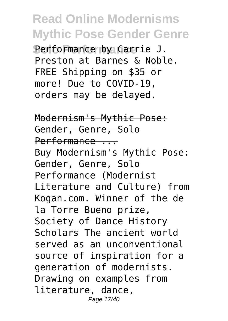**Solo Performance** Performance by Carrie J. Preston at Barnes & Noble. FREE Shipping on \$35 or more! Due to COVID-19, orders may be delayed.

Modernism's Mythic Pose: Gender, Genre, Solo Performance ... Buy Modernism's Mythic Pose: Gender, Genre, Solo Performance (Modernist Literature and Culture) from Kogan.com. Winner of the de la Torre Bueno prize, Society of Dance History Scholars The ancient world served as an unconventional source of inspiration for a generation of modernists. Drawing on examples from literature, dance, Page 17/40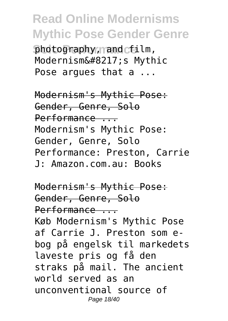photography, mand cfilm, Modernism's Mythic Pose argues that a ...

Modernism's Mythic Pose: Gender, Genre, Solo Performance ... Modernism's Mythic Pose: Gender, Genre, Solo Performance: Preston, Carrie J: Amazon.com.au: Books

Modernism's Mythic Pose: Gender, Genre, Solo Performance ... Køb Modernism's Mythic Pose af Carrie J. Preston som ebog på engelsk til markedets laveste pris og få den straks på mail. The ancient world served as an unconventional source of Page 18/40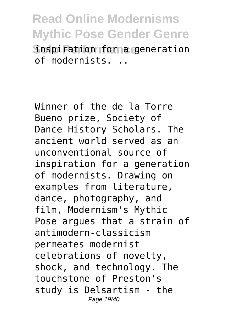**Read Online Modernisms Mythic Pose Gender Genre Snspiration forma generation** of modernists. ..

Winner of the de la Torre Bueno prize, Society of Dance History Scholars. The ancient world served as an unconventional source of inspiration for a generation of modernists. Drawing on examples from literature, dance, photography, and film, Modernism's Mythic Pose argues that a strain of antimodern-classicism permeates modernist celebrations of novelty, shock, and technology. The touchstone of Preston's study is Delsartism - the Page 19/40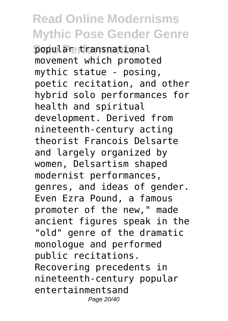**popular transnational** movement which promoted mythic statue - posing, poetic recitation, and other hybrid solo performances for health and spiritual development. Derived from nineteenth-century acting theorist Francois Delsarte and largely organized by women, Delsartism shaped modernist performances, genres, and ideas of gender. Even Ezra Pound, a famous promoter of the new," made ancient figures speak in the "old" genre of the dramatic monologue and performed public recitations. Recovering precedents in nineteenth-century popular entertainmentsand Page 20/40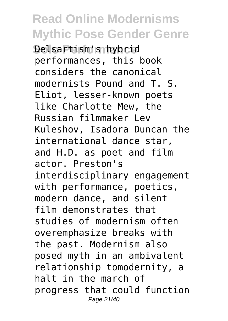**Solo Performance** Delsartism's hybrid performances, this book considers the canonical modernists Pound and T. S. Eliot, lesser-known poets like Charlotte Mew, the Russian filmmaker Lev Kuleshov, Isadora Duncan the international dance star, and H.D. as poet and film actor. Preston's interdisciplinary engagement with performance, poetics, modern dance, and silent film demonstrates that studies of modernism often overemphasize breaks with the past. Modernism also posed myth in an ambivalent relationship tomodernity, a halt in the march of progress that could function Page 21/40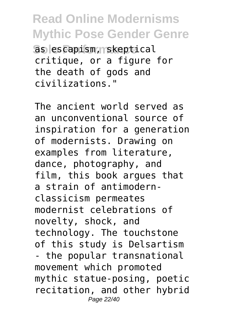**Solo Performance** as escapism, skeptical critique, or a figure for the death of gods and civilizations."

The ancient world served as an unconventional source of inspiration for a generation of modernists. Drawing on examples from literature, dance, photography, and film, this book argues that a strain of antimodernclassicism permeates modernist celebrations of novelty, shock, and technology. The touchstone of this study is Delsartism - the popular transnational movement which promoted mythic statue-posing, poetic recitation, and other hybrid Page 22/40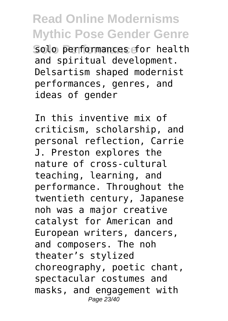Solo performances for health and spiritual development. Delsartism shaped modernist performances, genres, and ideas of gender

In this inventive mix of criticism, scholarship, and personal reflection, Carrie J. Preston explores the nature of cross-cultural teaching, learning, and performance. Throughout the twentieth century, Japanese noh was a major creative catalyst for American and European writers, dancers, and composers. The noh theater's stylized choreography, poetic chant, spectacular costumes and masks, and engagement with Page 23/40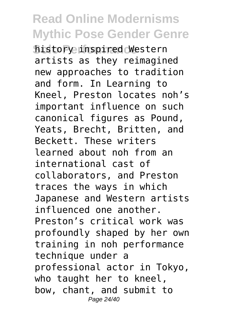**Solo Performance** history inspired Western artists as they reimagined new approaches to tradition and form. In Learning to Kneel, Preston locates noh's important influence on such canonical figures as Pound, Yeats, Brecht, Britten, and Beckett. These writers learned about noh from an international cast of collaborators, and Preston traces the ways in which Japanese and Western artists influenced one another. Preston's critical work was profoundly shaped by her own training in noh performance technique under a professional actor in Tokyo, who taught her to kneel, bow, chant, and submit to Page 24/40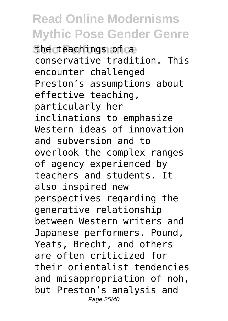**She cteachings of ca.** conservative tradition. This encounter challenged Preston's assumptions about effective teaching, particularly her inclinations to emphasize Western ideas of innovation and subversion and to overlook the complex ranges of agency experienced by teachers and students. It also inspired new perspectives regarding the generative relationship between Western writers and Japanese performers. Pound, Yeats, Brecht, and others are often criticized for their orientalist tendencies and misappropriation of noh, but Preston's analysis and Page 25/40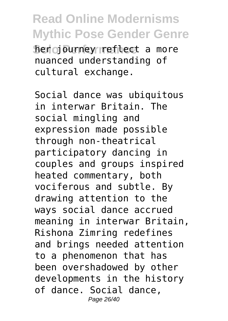**Read Online Modernisms Mythic Pose Gender Genre Sherio Purney refilect a more** nuanced understanding of cultural exchange.

Social dance was ubiquitous in interwar Britain. The social mingling and expression made possible through non-theatrical participatory dancing in couples and groups inspired heated commentary, both vociferous and subtle. By drawing attention to the ways social dance accrued meaning in interwar Britain, Rishona Zimring redefines and brings needed attention to a phenomenon that has been overshadowed by other developments in the history of dance. Social dance, Page 26/40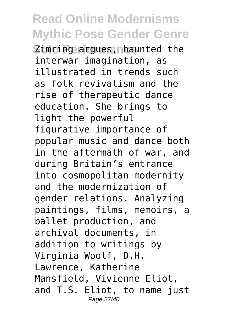**Zimring argues, nhaunted the** interwar imagination, as illustrated in trends such as folk revivalism and the rise of therapeutic dance education. She brings to light the powerful figurative importance of popular music and dance both in the aftermath of war, and during Britain's entrance into cosmopolitan modernity and the modernization of gender relations. Analyzing paintings, films, memoirs, a ballet production, and archival documents, in addition to writings by Virginia Woolf, D.H. Lawrence, Katherine Mansfield, Vivienne Eliot, and T.S. Eliot, to name just Page 27/40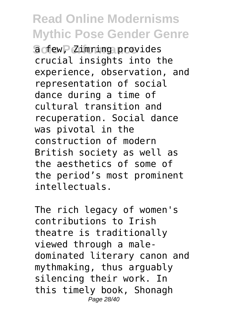**Solo Performance** a few, Zimring provides crucial insights into the experience, observation, and representation of social dance during a time of cultural transition and recuperation. Social dance was pivotal in the construction of modern British society as well as the aesthetics of some of the period's most prominent intellectuals.

The rich legacy of women's contributions to Irish theatre is traditionally viewed through a maledominated literary canon and mythmaking, thus arguably silencing their work. In this timely book, Shonagh Page 28/40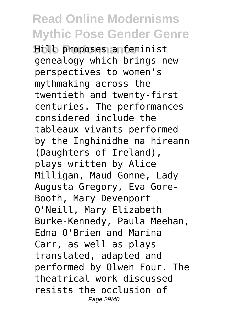**Solo Performance** Hill proposes a feminist genealogy which brings new perspectives to women's mythmaking across the twentieth and twenty-first centuries. The performances considered include the tableaux vivants performed by the Inghinidhe na hireann (Daughters of Ireland), plays written by Alice Milligan, Maud Gonne, Lady Augusta Gregory, Eva Gore-Booth, Mary Devenport O'Neill, Mary Elizabeth Burke-Kennedy, Paula Meehan, Edna O'Brien and Marina Carr, as well as plays translated, adapted and performed by Olwen Four. The theatrical work discussed resists the occlusion of Page 29/40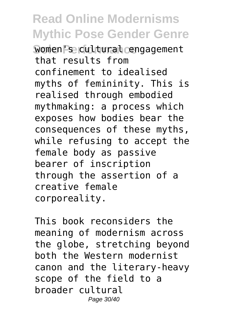**Women Pse cultural cengagement** that results from confinement to idealised myths of femininity. This is realised through embodied mythmaking: a process which exposes how bodies bear the consequences of these myths, while refusing to accept the female body as passive bearer of inscription through the assertion of a creative female corporeality.

This book reconsiders the meaning of modernism across the globe, stretching beyond both the Western modernist canon and the literary-heavy scope of the field to a broader cultural Page 30/40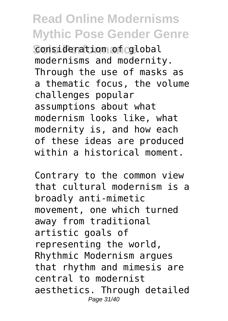**Consideration of colobal** modernisms and modernity. Through the use of masks as a thematic focus, the volume challenges popular assumptions about what modernism looks like, what modernity is, and how each of these ideas are produced within a historical moment.

Contrary to the common view that cultural modernism is a broadly anti-mimetic movement, one which turned away from traditional artistic goals of representing the world, Rhythmic Modernism argues that rhythm and mimesis are central to modernist aesthetics. Through detailed Page 31/40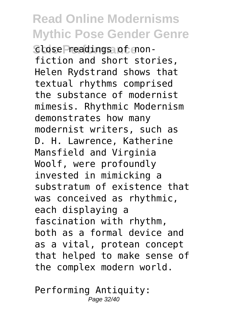**Sclose Preadings of non**fiction and short stories, Helen Rydstrand shows that textual rhythms comprised the substance of modernist mimesis. Rhythmic Modernism demonstrates how many modernist writers, such as D. H. Lawrence, Katherine Mansfield and Virginia Woolf, were profoundly invested in mimicking a substratum of existence that was conceived as rhythmic, each displaying a fascination with rhythm, both as a formal device and as a vital, protean concept that helped to make sense of the complex modern world.

Performing Antiquity: Page 32/40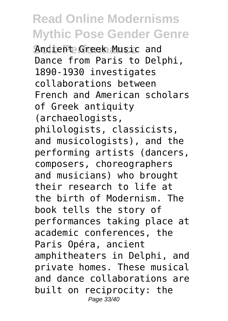**Ancient Greek Music and** Dance from Paris to Delphi, 1890-1930 investigates collaborations between French and American scholars of Greek antiquity (archaeologists, philologists, classicists, and musicologists), and the performing artists (dancers, composers, choreographers and musicians) who brought their research to life at the birth of Modernism. The book tells the story of performances taking place at academic conferences, the Paris Opéra, ancient amphitheaters in Delphi, and private homes. These musical and dance collaborations are built on reciprocity: the Page 33/40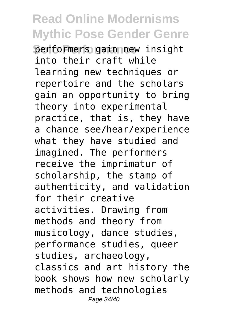**Solo Performance** performers gain new insight into their craft while learning new techniques or repertoire and the scholars gain an opportunity to bring theory into experimental practice, that is, they have a chance see/hear/experience what they have studied and imagined. The performers receive the imprimatur of scholarship, the stamp of authenticity, and validation for their creative activities. Drawing from methods and theory from musicology, dance studies, performance studies, queer studies, archaeology, classics and art history the book shows how new scholarly methods and technologies Page 34/40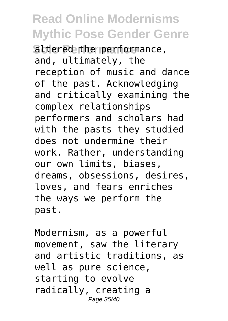altered the performance, and, ultimately, the reception of music and dance of the past. Acknowledging and critically examining the complex relationships performers and scholars had with the pasts they studied does not undermine their work. Rather, understanding our own limits, biases, dreams, obsessions, desires, loves, and fears enriches the ways we perform the past.

Modernism, as a powerful movement, saw the literary and artistic traditions, as well as pure science, starting to evolve radically, creating a Page 35/40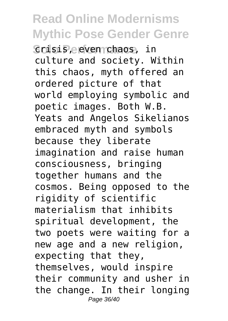**Solo Performance** crisis, even chaos, in culture and society. Within this chaos, myth offered an ordered picture of that world employing symbolic and poetic images. Both W.B. Yeats and Angelos Sikelianos embraced myth and symbols because they liberate imagination and raise human consciousness, bringing together humans and the cosmos. Being opposed to the rigidity of scientific materialism that inhibits spiritual development, the two poets were waiting for a new age and a new religion, expecting that they, themselves, would inspire their community and usher in the change. In their longing Page 36/40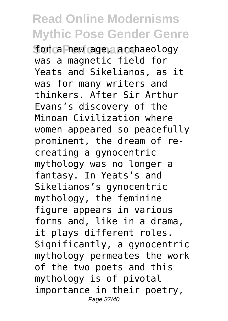**forca hew age, archaeology** was a magnetic field for Yeats and Sikelianos, as it was for many writers and thinkers. After Sir Arthur Evans's discovery of the Minoan Civilization where women appeared so peacefully prominent, the dream of recreating a gynocentric mythology was no longer a fantasy. In Yeats's and Sikelianos's gynocentric mythology, the feminine figure appears in various forms and, like in a drama, it plays different roles. Significantly, a gynocentric mythology permeates the work of the two poets and this mythology is of pivotal importance in their poetry, Page 37/40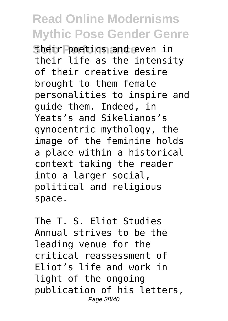**Sheir poetics and even in** their life as the intensity of their creative desire brought to them female personalities to inspire and guide them. Indeed, in Yeats's and Sikelianos's gynocentric mythology, the image of the feminine holds a place within a historical context taking the reader into a larger social, political and religious space.

The T. S. Eliot Studies Annual strives to be the leading venue for the critical reassessment of Eliot's life and work in light of the ongoing publication of his letters, Page 38/40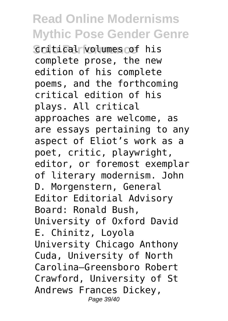**Scritical volumes of his** complete prose, the new edition of his complete poems, and the forthcoming critical edition of his plays. All critical approaches are welcome, as are essays pertaining to any aspect of Eliot's work as a poet, critic, playwright, editor, or foremost exemplar of literary modernism. John D. Morgenstern, General Editor Editorial Advisory Board: Ronald Bush, University of Oxford David E. Chinitz, Loyola University Chicago Anthony Cuda, University of North Carolina–Greensboro Robert Crawford, University of St Andrews Frances Dickey, Page 39/40